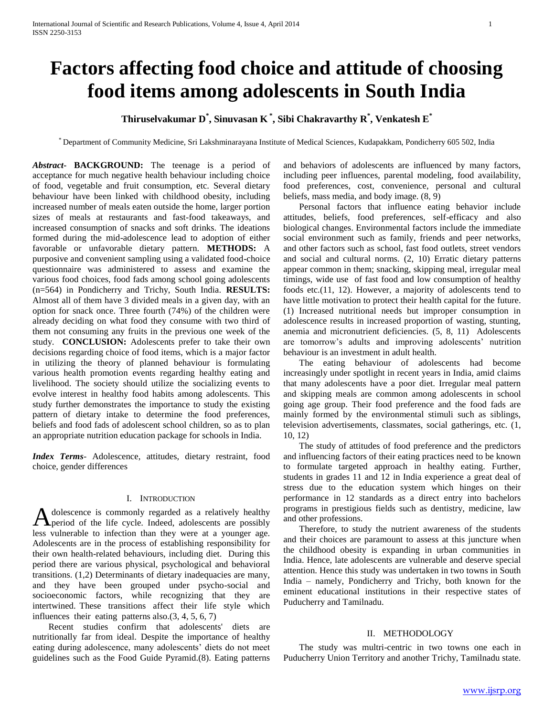# **Factors affecting food choice and attitude of choosing food items among adolescents in South India**

## **Thiruselvakumar D\* , Sinuvasan K \* , Sibi Chakravarthy R\* , Venkatesh E\***

\* Department of Community Medicine, Sri Lakshminarayana Institute of Medical Sciences, Kudapakkam, Pondicherry 605 502, India

*Abstract***- BACKGROUND:** The teenage is a period of acceptance for much negative health behaviour including choice of food, vegetable and fruit consumption, etc. Several dietary behaviour have been linked with childhood obesity, including increased number of meals eaten outside the home, larger portion sizes of meals at restaurants and fast-food takeaways, and increased consumption of snacks and soft drinks. The ideations formed during the mid-adolescence lead to adoption of either favorable or unfavorable dietary pattern. **METHODS:** A purposive and convenient sampling using a validated food-choice questionnaire was administered to assess and examine the various food choices, food fads among school going adolescents (n=564) in Pondicherry and Trichy, South India. **RESULTS:** Almost all of them have 3 divided meals in a given day, with an option for snack once. Three fourth (74%) of the children were already deciding on what food they consume with two third of them not consuming any fruits in the previous one week of the study. **CONCLUSION:** Adolescents prefer to take their own decisions regarding choice of food items, which is a major factor in utilizing the theory of planned behaviour is formulating various health promotion events regarding healthy eating and livelihood. The society should utilize the socializing events to evolve interest in healthy food habits among adolescents. This study further demonstrates the importance to study the existing pattern of dietary intake to determine the food preferences, beliefs and food fads of adolescent school children, so as to plan an appropriate nutrition education package for schools in India.

*Index Terms*- Adolescence, attitudes, dietary restraint, food choice, gender differences

#### I. INTRODUCTION

dolescence is commonly regarded as a relatively healthy A dolescence is commonly regarded as a relatively healthy<br>period of the life cycle. Indeed, adolescents are possibly less vulnerable to infection than they were at a younger age. Adolescents are in the process of establishing responsibility for their own health-related behaviours, including diet. During this period there are various physical, psychological and behavioral transitions. (1,2) Determinants of dietary inadequacies are many, and they have been grouped under psycho-social and socioeconomic factors, while recognizing that they are intertwined. These transitions affect their life style which influences their eating patterns also.(3, 4, 5, 6, 7)

 Recent studies confirm that adolescents' diets are nutritionally far from ideal. Despite the importance of healthy eating during adolescence, many adolescents' diets do not meet guidelines such as the Food Guide Pyramid.(8). Eating patterns and behaviors of adolescents are influenced by many factors, including peer influences, parental modeling, food availability, food preferences, cost, convenience, personal and cultural beliefs, mass media, and body image. (8, 9)

 Personal factors that influence eating behavior include attitudes, beliefs, food preferences, self-efficacy and also biological changes. Environmental factors include the immediate social environment such as family, friends and peer networks, and other factors such as school, fast food outlets, street vendors and social and cultural norms. (2, 10) Erratic dietary patterns appear common in them; snacking, skipping meal, irregular meal timings, wide use of fast food and low consumption of healthy foods etc.(11, 12). However, a majority of adolescents tend to have little motivation to protect their health capital for the future. (1) Increased nutritional needs but improper consumption in adolescence results in increased proportion of wasting, stunting, anemia and micronutrient deficiencies. (5, 8, 11) Adolescents are tomorrow's adults and improving adolescents' nutrition behaviour is an investment in adult health.

 The eating behaviour of adolescents had become increasingly under spotlight in recent years in India, amid claims that many adolescents have a poor diet. Irregular meal pattern and skipping meals are common among adolescents in school going age group. Their food preference and the food fads are mainly formed by the environmental stimuli such as siblings, television advertisements, classmates, social gatherings, etc. (1, 10, 12)

 The study of attitudes of food preference and the predictors and influencing factors of their eating practices need to be known to formulate targeted approach in healthy eating. Further, students in grades 11 and 12 in India experience a great deal of stress due to the education system which hinges on their performance in 12 standards as a direct entry into bachelors programs in prestigious fields such as dentistry, medicine, law and other professions.

 Therefore, to study the nutrient awareness of the students and their choices are paramount to assess at this juncture when the childhood obesity is expanding in urban communities in India. Hence, late adolescents are vulnerable and deserve special attention. Hence this study was undertaken in two towns in South India – namely, Pondicherry and Trichy, both known for the eminent educational institutions in their respective states of Puducherry and Tamilnadu.

#### II. METHODOLOGY

 The study was multri-centric in two towns one each in Puducherry Union Territory and another Trichy, Tamilnadu state.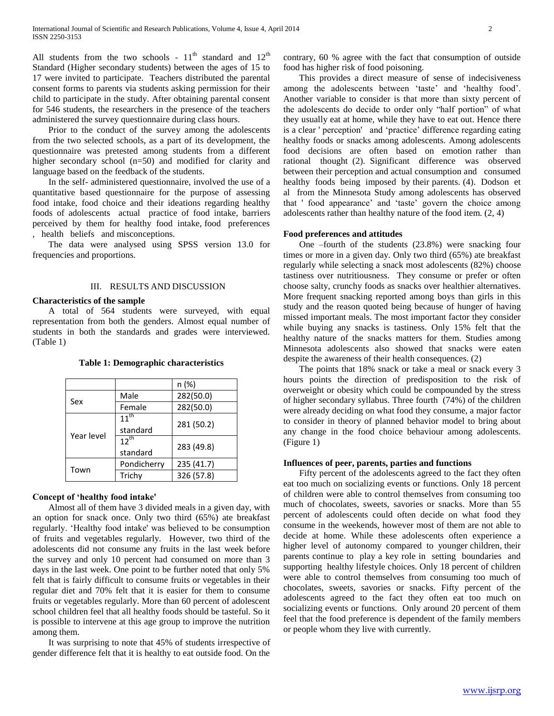All students from the two schools -  $11<sup>th</sup>$  standard and  $12<sup>th</sup>$ Standard (Higher secondary students) between the ages of 15 to 17 were invited to participate. Teachers distributed the parental consent forms to parents via students asking permission for their child to participate in the study. After obtaining parental consent for 546 students, the researchers in the presence of the teachers administered the survey questionnaire during class hours.

 Prior to the conduct of the survey among the adolescents from the two selected schools, as a part of its development, the questionnaire was pretested among students from a different higher secondary school (n=50) and modified for clarity and language based on the feedback of the students.

 In the self- administered questionnaire, involved the use of a quantitative based questionnaire for the purpose of assessing food intake, food choice and their ideations regarding healthy foods of adolescents actual practice of food intake, barriers perceived by them for healthy food intake, food preferences , health beliefs and misconceptions.

 The data were analysed using SPSS version 13.0 for frequencies and proportions.

#### III. RESULTS AND DISCUSSION

#### **Characteristics of the sample**

 A total of 564 students were surveyed, with equal representation from both the genders. Almost equal number of students in both the standards and grades were interviewed. (Table 1)

|  | <b>Table 1: Demographic characteristics</b> |  |  |  |
|--|---------------------------------------------|--|--|--|
|--|---------------------------------------------|--|--|--|

|            |             | n (%)      |  |
|------------|-------------|------------|--|
| Sex        | Male        | 282(50.0)  |  |
|            | Female      | 282(50.0)  |  |
|            | $11^{th}$   | 281 (50.2) |  |
| Year level | standard    |            |  |
|            | $12^{th}$   | 283 (49.8) |  |
|            | standard    |            |  |
| Town       | Pondicherry | 235 (41.7) |  |
|            | Trichy      | 326 (57.8) |  |

### **Concept of 'healthy food intake'**

 Almost all of them have 3 divided meals in a given day, with an option for snack once. Only two third (65%) ate breakfast regularly. 'Healthy food intake' was believed to be consumption of fruits and vegetables regularly. However, two third of the adolescents did not consume any fruits in the last week before the survey and only 10 percent had consumed on more than 3 days in the last week. One point to be further noted that only 5% felt that is fairly difficult to consume fruits or vegetables in their regular diet and 70% felt that it is easier for them to consume fruits or vegetables regularly. More than 60 percent of adolescent school children feel that all healthy foods should be tasteful. So it is possible to intervene at this age group to improve the nutrition among them.

 It was surprising to note that 45% of students irrespective of gender difference felt that it is healthy to eat outside food. On the contrary, 60 % agree with the fact that consumption of outside food has higher risk of food poisoning.

 This provides a direct measure of sense of indecisiveness among the adolescents between 'taste' and 'healthy food'. Another variable to consider is that more than sixty percent of the adolescents do decide to order only "half portion" of what they usually eat at home, while they have to eat out. Hence there is a clear ' perception' and 'practice' difference regarding eating healthy foods or snacks among adolescents. Among adolescents food decisions are often based on emotion rather than rational thought (2). Significant difference was observed between their perception and actual consumption and consumed healthy foods being imposed by their parents. (4). Dodson et al from the Minnesota Study among adolescents has observed that ' food appearance' and 'taste' govern the choice among adolescents rather than healthy nature of the food item. (2, 4)

#### **Food preferences and attitudes**

 One –fourth of the students (23.8%) were snacking four times or more in a given day. Only two third (65%) ate breakfast regularly while selecting a snack most adolescents (82%) choose tastiness over nutritiousness. They consume or prefer or often choose salty, crunchy foods as snacks over healthier alternatives. More frequent snacking reported among boys than girls in this study and the reason quoted being because of hunger of having missed important meals. The most important factor they consider while buying any snacks is tastiness. Only 15% felt that the healthy nature of the snacks matters for them. Studies among Minnesota adolescents also showed that snacks were eaten despite the awareness of their health consequences. (2)

 The points that 18% snack or take a meal or snack every 3 hours points the direction of predisposition to the risk of overweight or obesity which could be compounded by the stress of higher secondary syllabus. Three fourth (74%) of the children were already deciding on what food they consume, a major factor to consider in theory of planned behavior model to bring about any change in the food choice behaviour among adolescents. (Figure 1)

#### **Influences of peer, parents, parties and functions**

 Fifty percent of the adolescents agreed to the fact they often eat too much on socializing events or functions. Only 18 percent of children were able to control themselves from consuming too much of chocolates, sweets, savories or snacks. More than 55 percent of adolescents could often decide on what food they consume in the weekends, however most of them are not able to decide at home. While these adolescents often experience a higher level of autonomy compared to younger children, their parents continue to play a key role in setting boundaries and supporting healthy lifestyle choices. Only 18 percent of children were able to control themselves from consuming too much of chocolates, sweets, savories or snacks. Fifty percent of the adolescents agreed to the fact they often eat too much on socializing events or functions. Only around 20 percent of them feel that the food preference is dependent of the family members or people whom they live with currently.